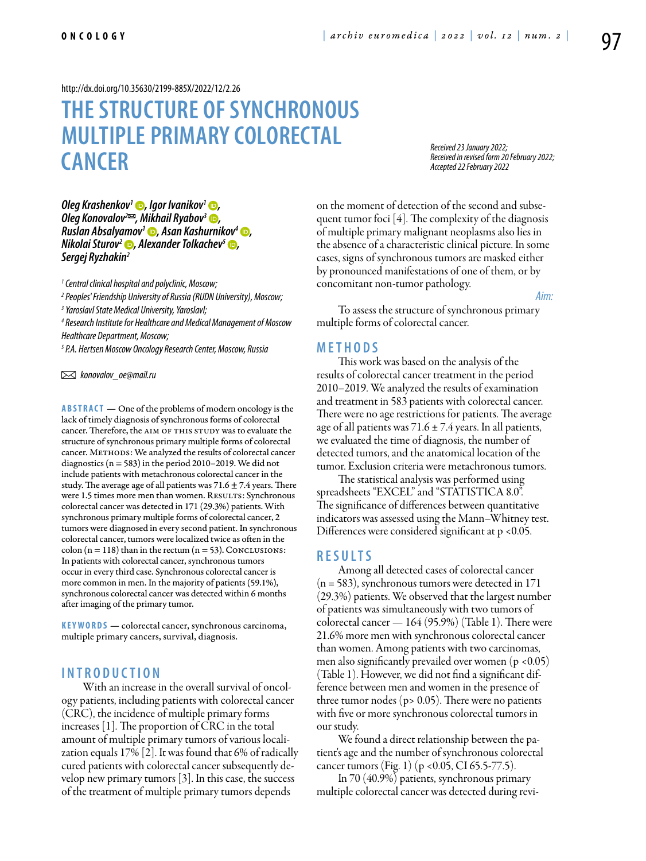<http://dx.doi.org/10.35630/2199-885X/2022/12/2.26>

# **The structure of synchronous multiple primarycolorectal cancer**

*Received 23 January 2022; Received in revised form 20 February 2022; Accepted 22 February 2022*

*[Oleg Krashenkov](https://orcid.org/0000-0001-5695-4936)<sup>1</sup> D, [Igor Ivanikov](https://orcid.org/0000-0001-6691-8306)<sup>1</sup> D, Oleg Konovalov<sup>2</sup><sup>≥</sup>, Mikhail Ryabov<sup>3</sup> <sup>●</sup>, [Ruslan Absalyamov](https://orcid.org/0000-0001-8895-2265)1 , [Asan Kashurnikov4](https://orcid.org/0000-0003-3930-6878) , Nikolai Sturov<sup>2</sup> (b), [Alexander Tolkachev](https://orcid.org/0000-0002-8630-6072)<sup>5</sup> (b), Sergej Ryzhakin2*

*1 Central clinical hospital and polyclinic, Moscow;* 

*2 Peoples' Friendship University of Russia (RUDN University), Moscow;*

*3 Yaroslavl State Medical University, Yaroslavl;*

*4 Research Institute for Healthcare and Medical Management of Moscow Healthcare Department, Moscow;* 

*5 P.A. Hertsen Moscow Oncology Research Center, Moscow, Russia* 

 *konovalov\_oe@mail.ru*

**Abstract** — One of the problems of modern oncology is the lack of timely diagnosis of synchronous forms of colorectal cancer. Therefore, the AIM OF THIS STUDY was to evaluate the structure of synchronous primary multiple forms of colorectal cancer. METHODS: We analyzed the results of colorectal cancer diagnostics ( $n = 583$ ) in the period 2010–2019. We did not include patients with metachronous colorectal cancer in the study. The average age of all patients was  $71.6 \pm 7.4$  years. There were 1.5 times more men than women. RESULTS: Synchronous colorectal cancer was detected in 171 (29.3%) patients. With synchronous primary multiple forms of colorectal cancer, 2 tumors were diagnosed in every second patient. In synchronous colorectal cancer, tumors were localized twice as often in the colon ( $n = 118$ ) than in the rectum ( $n = 53$ ). Conclusions: In patients with colorectal cancer, synchronous tumors occur in every third case. Synchronous colorectal cancer is more common in men. In the majority of patients (59.1%), synchronous colorectal cancer was detected within 6 months after imaging of the primary tumor.

**KEYWORDS** — colorectal cancer, synchronous carcinoma, multiple primary cancers, survival, diagnosis.

# **I n t r o ducti o n**

With an increase in the overall survival of oncology patients, including patients with colorectal cancer (CRC), the incidence of multiple primary forms increases [1]. The proportion of CRC in the total amount of multiple primary tumors of various localization equals 17% [2]. It was found that 6% of radically cured patients with colorectal cancer subsequently develop new primary tumors [3]. In this case, the success of the treatment of multiple primary tumors depends

on the moment of detection of the second and subsequent tumor foci [4]. The complexity of the diagnosis of multiple primary malignant neoplasms also lies in the absence of a characteristic clinical picture. In some cases, signs of synchronous tumors are masked either by pronounced manifestations of one of them, or by concomitant non-tumor pathology.

*Aim:* 

To assess the structure of synchronous primary multiple forms of colorectal cancer.

#### **M e t h o d s**

This work was based on the analysis of the results of colorectal cancer treatment in the period 2010–2019. We analyzed the results of examination and treatment in 583 patients with colorectal cancer. There were no age restrictions for patients. The average age of all patients was  $71.6 \pm 7.4$  years. In all patients, we evaluated the time of diagnosis, the number of detected tumors, and the anatomical location of the tumor. Exclusion criteria were metachronous tumors.

The statistical analysis was performed using spreadsheets "EXCEL" and "STATISTICA 8.0". The significance of differences between quantitative indicators was assessed using the Mann–Whitney test. Differences were considered significant at  $p < 0.05$ .

#### **R e s ult s**

Among all detected cases of colorectal cancer  $(n = 583)$ , synchronous tumors were detected in 171 (29.3%) patients. We observed that the largest number of patients was simultaneously with two tumors of colorectal cancer  $-164(95.9%)$  (Table 1). There were 21.6% more men with synchronous colorectal cancer than women. Among patients with two carcinomas, men also significantly prevailed over women ( $p < 0.05$ ) (Table 1). However, we did not find a significant difference between men and women in the presence of three tumor nodes ( $p$ > 0.05). There were no patients with five or more synchronous colorectal tumors in our study.

We found a direct relationship between the patient's age and the number of synchronous colorectal cancer tumors (Fig. 1) (p <0.05, CI 65.5-77.5).

In 70 (40.9%) patients, synchronous primary multiple colorectal cancer was detected during revi-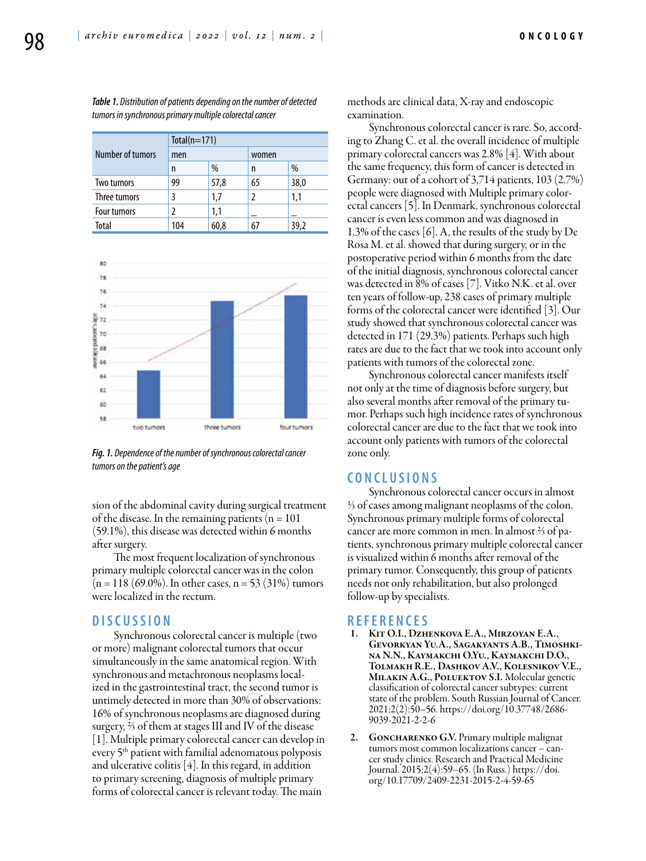| Number of tumors   | $Total(n=171)$ |      |       |      |
|--------------------|----------------|------|-------|------|
|                    | men            |      | women |      |
|                    | n              | %    | n     | %    |
| Two tumors         | 99             | 57,8 | 65    | 38,0 |
| Three tumors       |                | 1,7  | 2     | 1.1  |
| <b>Four tumors</b> |                | 1,1  |       |      |
| Total              | 104            | 60,8 | 67    | 39,2 |

*Table 1. Distribution of patients depending on the number of detected tumors in synchronous primary multiple colorectal cancer*



*Fig. 1. Dependence of the number of synchronous colorectal cancer tumors on the patient's age*

sion of the abdominal cavity during surgical treatment of the disease. In the remaining patients  $(n = 101)$ (59.1%), this disease was detected within 6 months after surgery.

The most frequent localization of synchronous primary multiple colorectal cancer was in the colon  $(n = 118 (69.0\%)$ . In other cases,  $n = 53 (31\%)$  tumors were localized in the rectum.

## **D iscu s si o n**

Synchronous colorectal cancer is multiple (two or more) malignant colorectal tumors that occur simultaneously in the same anatomical region. With synchronous and metachronous neoplasms localized in the gastrointestinal tract, the second tumor is untimely detected in more than 30% of observations: 16% of synchronous neoplasms are diagnosed during surgery, ⅔ of them at stages III and IV of the disease [1]. Multiple primary colorectal cancer can develop in every 5<sup>th</sup> patient with familial adenomatous polyposis and ulcerative colitis  $[4]$ . In this regard, in addition to primary screening, diagnosis of multiple primary forms of colorectal cancer is relevant today. The main

methods are clinical data, X-ray and endoscopic examination.

Synchronous colorectal cancer is rare. So, according to Zhang C. et al. the overall incidence of multiple primary colorectal cancers was 2.8% [4]. With about the same frequency, this form of cancer is detected in Germany: out of a cohort of 3,714 patients, 103 (2.7%) people were diagnosed with Multiple primary colorectal cancers [5]. In Denmark, synchronous colorectal cancer is even less common and was diagnosed in 1.3% of the cases [6]. A, the results of the study by De Rosa M. et al. showed that during surgery, or in the postoperative period within 6 months from the date of the initial diagnosis, synchronous colorectal cancer was detected in 8% of cases [7]. Vitko N.K. et al. over ten years of follow-up, 238 cases of primary multiple forms of the colorectal cancer were identified [3]. Our study showed that synchronous colorectal cancer was detected in 171 (29.3%) patients. Perhaps such high rates are due to the fact that we took into account only patients with tumors of the colorectal zone.

Synchronous colorectal cancer manifests itself not only at the time of diagnosis before surgery, but also several months after removal of the primary tumor. Perhaps such high incidence rates of synchronous colorectal cancer are due to the fact that we took into account only patients with tumors of the colorectal zone only.

## **C o n clu si o n s**

Synchronous colorectal cancer occurs in almost ⅓ of cases among malignant neoplasms of the colon. Synchronous primary multiple forms of colorectal cancer are more common in men. In almost ⅔ of patients, synchronous primary multiple colorectal cancer is visualized within 6 months after removal of the primary tumor. Consequently, this group of patients needs not only rehabilitation, but also prolonged follow-up by specialists.

# **R efe r e n ce s**

- KIT O.I., DZHENKOVA E.A., MIRZOYAN E.A., Gevorkyan Yu.A., Sagakyants A.B., Timoshkina N.N., Kaymakchi O.Yu., Kaymakchi D.O., Tolmakh R.E., Dashkov A.V., Kolesnikov V.E., Milakin A.G., Poluektov S.I. Molecular genetic classification of colorectal cancer subtypes: current state of the problem. South Russian Journal of Cancer. 2021;2(2):50–56. https://doi.org/10.37748/2686- 9039-2021-2-2-6
- 2. GONCHARENKO G.V. Primary multiple malignat tumors most common localizations cancer – cancer study clinics. Research and Practical Medicine Journal. 2015;2(4):59–65. (In Russ.) https://doi. org/10.17709/2409-2231-2015-2-4-59-65